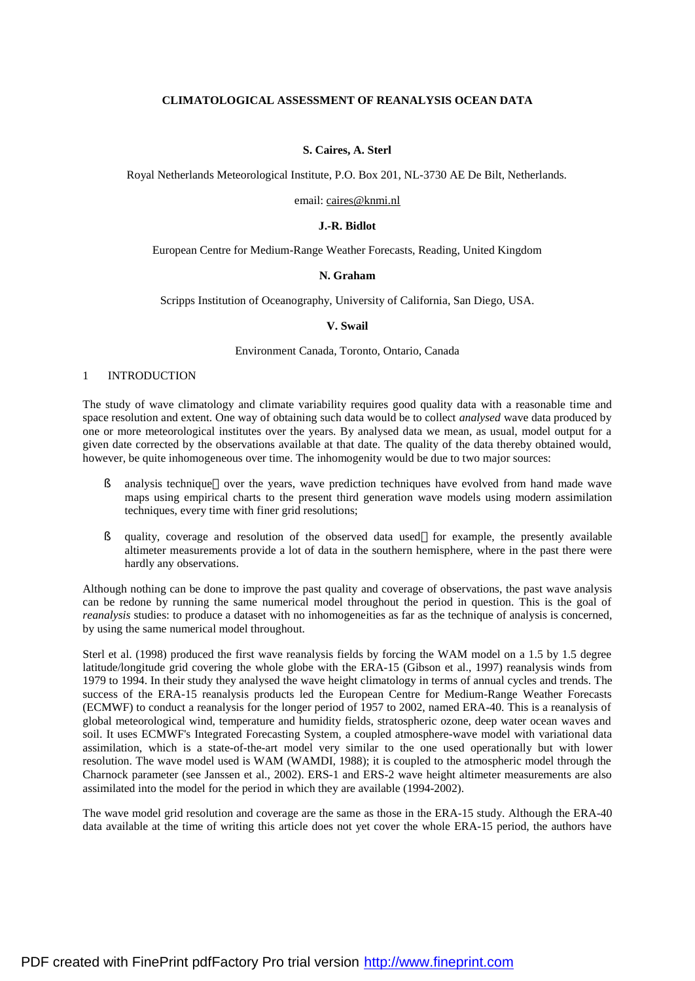# **CLIMATOLOGICAL ASSESSMENT OF REANALYSIS OCEAN DATA**

## **S. Caires, A. Sterl**

Royal Netherlands Meteorological Institute, P.O. Box 201, NL-3730 AE De Bilt, Netherlands.

#### email: [caires@knmi.nl](mailto:caires@knmi.nl)

### **J.-R. Bidlot**

European Centre for Medium-Range Weather Forecasts, Reading, United Kingdom

### **N. Graham**

Scripps Institution of Oceanography, University of California, San Diego, USA.

#### **V. Swail**

### Environment Canada, Toronto, Ontario, Canada

#### 1 INTRODUCTION

The study of wave climatology and climate variability requires good quality data with a reasonable time and space resolution and extent. One way of obtaining such data would be to collect *analysed* wave data produced by one or more meteorological institutes over the years. By analysed data we mean, as usual, model output for a given date corrected by the observations available at that date. The quality of the data thereby obtained would, however, be quite inhomogeneous over time. The inhomogenity would be due to two major sources:

- § analysis technique—over the years, wave prediction techniques have evolved from hand made wave maps using empirical charts to the present third generation wave models using modern assimilation techniques, every time with finer grid resolutions;
- § quality, coverage and resolution of the observed data used—for example, the presently available altimeter measurements provide a lot of data in the southern hemisphere, where in the past there were hardly any observations.

Although nothing can be done to improve the past quality and coverage of observations, the past wave analysis can be redone by running the same numerical model throughout the period in question. This is the goal of *reanalysis* studies: to produce a dataset with no inhomogeneities as far as the technique of analysis is concerned, by using the same numerical model throughout.

Sterl et al. (1998) produced the first wave reanalysis fields by forcing the WAM model on a 1.5 by 1.5 degree latitude/longitude grid covering the whole globe with the ERA-15 (Gibson et al., 1997) reanalysis winds from 1979 to 1994. In their study they analysed the wave height climatology in terms of annual cycles and trends. The success of the ERA-15 reanalysis products led the European Centre for Medium-Range Weather Forecasts (ECMWF) to conduct a reanalysis for the longer period of 1957 to 2002, named ERA-40. This is a reanalysis of global meteorological wind, temperature and humidity fields, stratospheric ozone, deep water ocean waves and soil. It uses ECMWF's Integrated Forecasting System, a coupled atmosphere-wave model with variational data assimilation, which is a state-of-the-art model very similar to the one used operationally but with lower resolution. The wave model used is WAM (WAMDI, 1988); it is coupled to the atmospheric model through the Charnock parameter (see Janssen et al., 2002). ERS-1 and ERS-2 wave height altimeter measurements are also assimilated into the model for the period in which they are available (1994-2002).

The wave model grid resolution and coverage are the same as those in the ERA-15 study. Although the ERA-40 data available at the time of writing this article does not yet cover the whole ERA-15 period, the authors have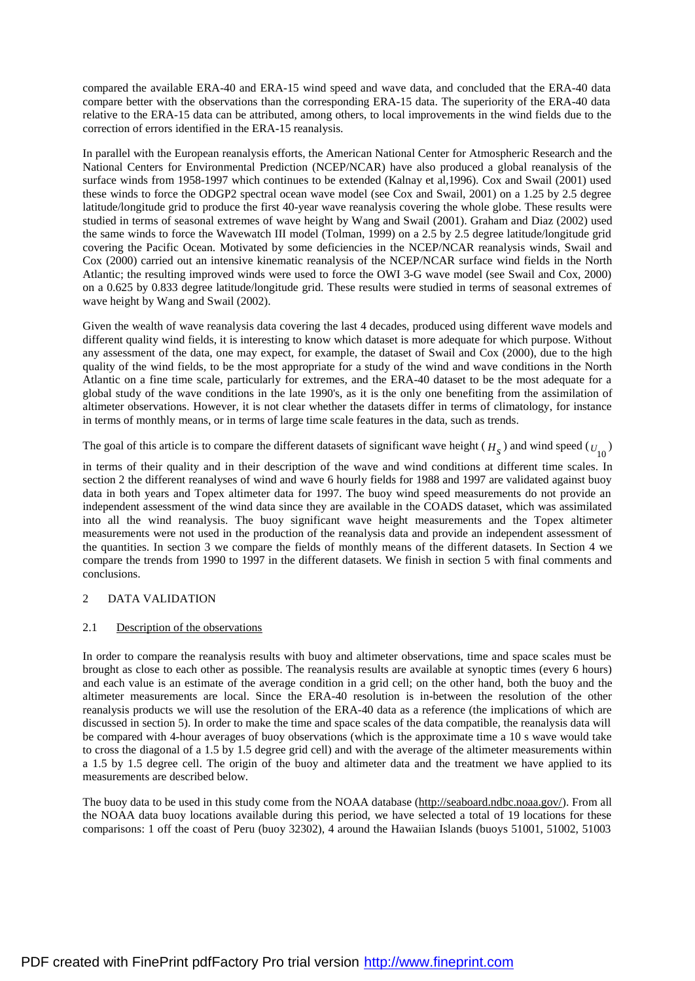compared the available ERA-40 and ERA-15 wind speed and wave data, and concluded that the ERA-40 data compare better with the observations than the corresponding ERA-15 data. The superiority of the ERA-40 data relative to the ERA-15 data can be attributed, among others, to local improvements in the wind fields due to the correction of errors identified in the ERA-15 reanalysis.

In parallel with the European reanalysis efforts, the American National Center for Atmospheric Research and the National Centers for Environmental Prediction (NCEP/NCAR) have also produced a global reanalysis of the surface winds from 1958-1997 which continues to be extended (Kalnay et al,1996). Cox and Swail (2001) used these winds to force the ODGP2 spectral ocean wave model (see Cox and Swail, 2001) on a 1.25 by 2.5 degree latitude/longitude grid to produce the first 40-year wave reanalysis covering the whole globe. These results were studied in terms of seasonal extremes of wave height by Wang and Swail (2001). Graham and Diaz (2002) used the same winds to force the Wavewatch III model (Tolman, 1999) on a 2.5 by 2.5 degree latitude/longitude grid covering the Pacific Ocean. Motivated by some deficiencies in the NCEP/NCAR reanalysis winds, Swail and Cox (2000) carried out an intensive kinematic reanalysis of the NCEP/NCAR surface wind fields in the North Atlantic; the resulting improved winds were used to force the OWI 3-G wave model (see Swail and Cox, 2000) on a 0.625 by 0.833 degree latitude/longitude grid. These results were studied in terms of seasonal extremes of wave height by Wang and Swail (2002).

Given the wealth of wave reanalysis data covering the last 4 decades, produced using different wave models and different quality wind fields, it is interesting to know which dataset is more adequate for which purpose. Without any assessment of the data, one may expect, for example, the dataset of Swail and Cox (2000), due to the high quality of the wind fields, to be the most appropriate for a study of the wind and wave conditions in the North Atlantic on a fine time scale, particularly for extremes, and the ERA-40 dataset to be the most adequate for a global study of the wave conditions in the late 1990's, as it is the only one benefiting from the assimilation of altimeter observations. However, it is not clear whether the datasets differ in terms of climatology, for instance in terms of monthly means, or in terms of large time scale features in the data, such as trends.

The goal of this article is to compare the different datasets of significant wave height  $(H_s)$  and wind speed  $(U_{10})$ 

in terms of their quality and in their description of the wave and wind conditions at different time scales. In section 2 the different reanalyses of wind and wave 6 hourly fields for 1988 and 1997 are validated against buoy data in both years and Topex altimeter data for 1997. The buoy wind speed measurements do not provide an independent assessment of the wind data since they are available in the COADS dataset, which was assimilated into all the wind reanalysis. The buoy significant wave height measurements and the Topex altimeter measurements were not used in the production of the reanalysis data and provide an independent assessment of the quantities. In section 3 we compare the fields of monthly means of the different datasets. In Section 4 we compare the trends from 1990 to 1997 in the different datasets. We finish in section 5 with final comments and conclusions.

# 2 DATA VALIDATION

# 2.1 Description of the observations

In order to compare the reanalysis results with buoy and altimeter observations, time and space scales must be brought as close to each other as possible. The reanalysis results are available at synoptic times (every 6 hours) and each value is an estimate of the average condition in a grid cell; on the other hand, both the buoy and the altimeter measurements are local. Since the ERA-40 resolution is in-between the resolution of the other reanalysis products we will use the resolution of the ERA-40 data as a reference (the implications of which are discussed in section 5). In order to make the time and space scales of the data compatible, the reanalysis data will be compared with 4-hour averages of buoy observations (which is the approximate time a 10 s wave would take to cross the diagonal of a 1.5 by 1.5 degree grid cell) and with the average of the altimeter measurements within a 1.5 by 1.5 degree cell. The origin of the buoy and altimeter data and the treatment we have applied to its measurements are described below.

The buoy data to be used in this study come from the NOAA database ([http://seaboard.ndbc.noaa.gov/\)](http://seaboard.ndbc.noaa.gov/). From all the NOAA data buoy locations available during this period, we have selected a total of 19 locations for these comparisons: 1 off the coast of Peru (buoy 32302), 4 around the Hawaiian Islands (buoys 51001, 51002, 51003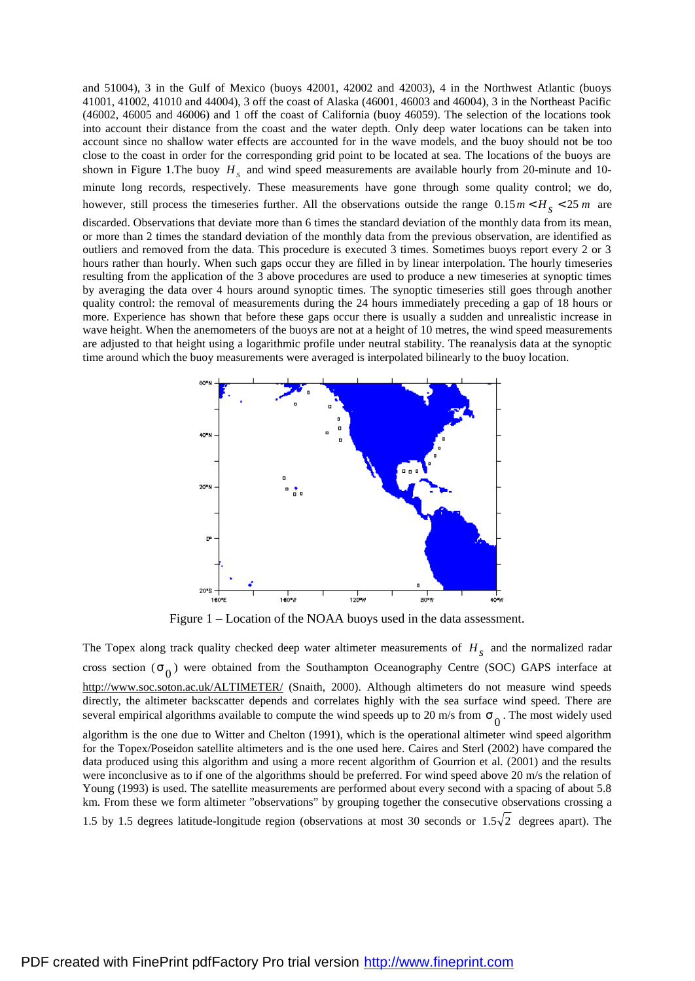and 51004), 3 in the Gulf of Mexico (buoys 42001, 42002 and 42003), 4 in the Northwest Atlantic (buoys 41001, 41002, 41010 and 44004), 3 off the coast of Alaska (46001, 46003 and 46004), 3 in the Northeast Pacific (46002, 46005 and 46006) and 1 off the coast of California (buoy 46059). The selection of the locations took into account their distance from the coast and the water depth. Only deep water locations can be taken into account since no shallow water effects are accounted for in the wave models, and the buoy should not be too close to the coast in order for the corresponding grid point to be located at sea. The locations of the buoys are shown in Figure 1. The buoy  $H<sub>S</sub>$  and wind speed measurements are available hourly from 20-minute and 10minute long records, respectively. These measurements have gone through some quality control; we do, however, still process the timeseries further. All the observations outside the range  $0.15 m < H<sub>s</sub> < 25 m$  are discarded. Observations that deviate more than 6 times the standard deviation of the monthly data from its mean, or more than 2 times the standard deviation of the monthly data from the previous observation, are identified as outliers and removed from the data. This procedure is executed 3 times. Sometimes buoys report every 2 or 3 hours rather than hourly. When such gaps occur they are filled in by linear interpolation. The hourly timeseries

resulting from the application of the 3 above procedures are used to produce a new timeseries at synoptic times by averaging the data over 4 hours around synoptic times. The synoptic timeseries still goes through another quality control: the removal of measurements during the 24 hours immediately preceding a gap of 18 hours or more. Experience has shown that before these gaps occur there is usually a sudden and unrealistic increase in wave height. When the anemometers of the buoys are not at a height of 10 metres, the wind speed measurements are adjusted to that height using a logarithmic profile under neutral stability. The reanalysis data at the synoptic time around which the buoy measurements were averaged is interpolated bilinearly to the buoy location.



Figure 1 – Location of the NOAA buoys used in the data assessment.

The Topex along track quality checked deep water altimeter measurements of  $H<sub>s</sub>$  and the normalized radar cross section ( $s<sub>0</sub>$ ) were obtained from the Southampton Oceanography Centre (SOC) GAPS interface at <http://www.soc.soton.ac.uk/ALTIMETER/> (Snaith, 2000). Although altimeters do not measure wind speeds directly, the altimeter backscatter depends and correlates highly with the sea surface wind speed. There are several empirical algorithms available to compute the wind speeds up to 20 m/s from  $s_0$ . The most widely used

algorithm is the one due to Witter and Chelton (1991), which is the operational altimeter wind speed algorithm for the Topex/Poseidon satellite altimeters and is the one used here. Caires and Sterl (2002) have compared the data produced using this algorithm and using a more recent algorithm of Gourrion et al. (2001) and the results were inconclusive as to if one of the algorithms should be preferred. For wind speed above 20 m/s the relation of Young (1993) is used. The satellite measurements are performed about every second with a spacing of about 5.8 km. From these we form altimeter "observations" by grouping together the consecutive observations crossing a

1.5 by 1.5 degrees latitude-longitude region (observations at most 30 seconds or  $1.5\sqrt{2}$  degrees apart). The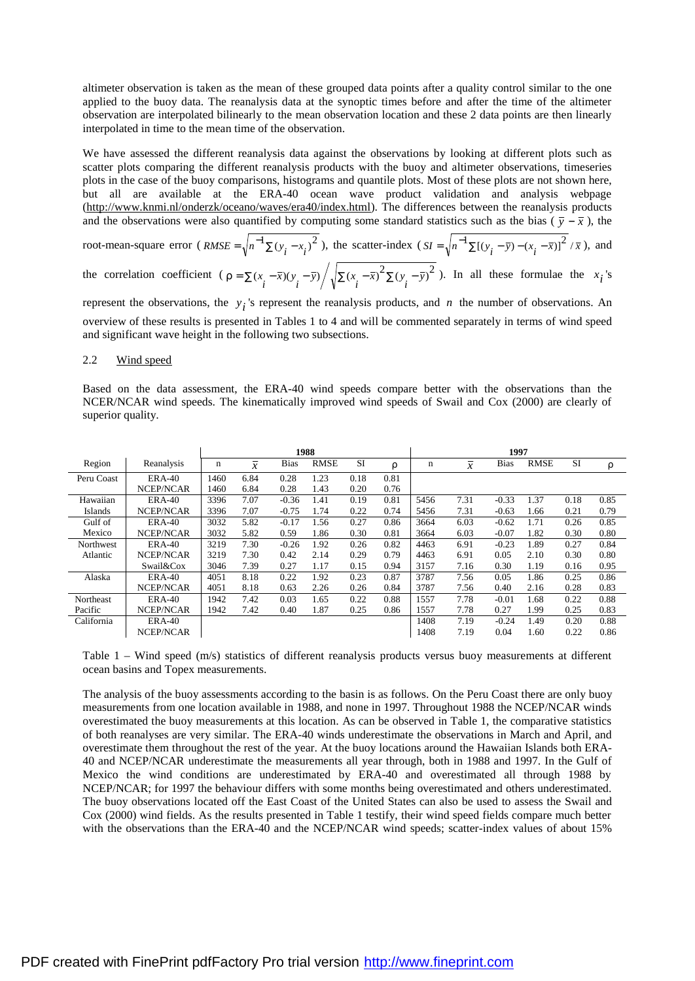altimeter observation is taken as the mean of these grouped data points after a quality control similar to the one applied to the buoy data. The reanalysis data at the synoptic times before and after the time of the altimeter observation are interpolated bilinearly to the mean observation location and these 2 data points are then linearly interpolated in time to the mean time of the observation.

We have assessed the different reanalysis data against the observations by looking at different plots such as scatter plots comparing the different reanalysis products with the buoy and altimeter observations, timeseries plots in the case of the buoy comparisons, histograms and quantile plots. Most of these plots are not shown here, but all are available at the ERA-40 ocean wave product validation and analysis webpage [\(http://www.knmi.nl/onderzk/oceano/waves/era40/index.html\)](http://www.knmi.nl/onderzk/oceano/waves/era40/index.html). The differences between the reanalysis products and the observations were also quantified by computing some standard statistics such as the bias ( $\bar{y} - \bar{x}$ ), the root-mean-square error ( $RMSE = \sqrt{n^{-1} \sum (y_i - x_i)^2}$  $RMSE = \sqrt{n^{-1} \sum (y_i - x_i)^2}$ , the scatter-index  $(SI = \sqrt{n^{-1} \sum [(y_i - \bar{y}) - (x_i - \bar{x})]^2} / \bar{x}$ , and the correlation coefficient  $\left(r = \sum_{i} (x_i - \bar{x})(y_i - \bar{y}) / \sqrt{\sum_{i} (x_i - \bar{x})^2} \sum_{i} (y_i - \bar{y})^2 \right)$ . In all these formulae the  $x_i$ 's represent the observations, the  $y_i$ 's represent the reanalysis products, and *n* the number of observations. An

overview of these results is presented in Tables 1 to 4 and will be commented separately in terms of wind speed and significant wave height in the following two subsections.

### 2.2 Wind speed

Based on the data assessment, the ERA-40 wind speeds compare better with the observations than the NCER/NCAR wind speeds. The kinematically improved wind speeds of Swail and Cox (2000) are clearly of superior quality.

|            |                  | 1988 |                |             |             | 1997      |      |             |                |             |             |           |      |
|------------|------------------|------|----------------|-------------|-------------|-----------|------|-------------|----------------|-------------|-------------|-----------|------|
| Region     | Reanalysis       | n    | $\overline{x}$ | <b>Bias</b> | <b>RMSE</b> | <b>SI</b> | ρ    | $\mathbf n$ | $\overline{x}$ | <b>Bias</b> | <b>RMSE</b> | <b>SI</b> | ρ    |
| Peru Coast | <b>ERA-40</b>    | 1460 | 6.84           | 0.28        | 1.23        | 0.18      | 0.81 |             |                |             |             |           |      |
|            | <b>NCEP/NCAR</b> | 1460 | 6.84           | 0.28        | 1.43        | 0.20      | 0.76 |             |                |             |             |           |      |
| Hawaiian   | <b>ERA-40</b>    | 3396 | 7.07           | $-0.36$     | 1.41        | 0.19      | 0.81 | 5456        | 7.31           | $-0.33$     | 1.37        | 0.18      | 0.85 |
| Islands    | <b>NCEP/NCAR</b> | 3396 | 7.07           | $-0.75$     | 1.74        | 0.22      | 0.74 | 5456        | 7.31           | $-0.63$     | 1.66        | 0.21      | 0.79 |
| Gulf of    | <b>ERA-40</b>    | 3032 | 5.82           | $-0.17$     | 1.56        | 0.27      | 0.86 | 3664        | 6.03           | $-0.62$     | 1.71        | 0.26      | 0.85 |
| Mexico     | NCEP/NCAR        | 3032 | 5.82           | 0.59        | 1.86        | 0.30      | 0.81 | 3664        | 6.03           | $-0.07$     | 1.82        | 0.30      | 0.80 |
| Northwest  | <b>ERA-40</b>    | 3219 | 7.30           | $-0.26$     | 1.92        | 0.26      | 0.82 | 4463        | 6.91           | $-0.23$     | 1.89        | 0.27      | 0.84 |
| Atlantic   | <b>NCEP/NCAR</b> | 3219 | 7.30           | 0.42        | 2.14        | 0.29      | 0.79 | 4463        | 6.91           | 0.05        | 2.10        | 0.30      | 0.80 |
|            | Swail&Cox        | 3046 | 7.39           | 0.27        | 1.17        | 0.15      | 0.94 | 3157        | 7.16           | 0.30        | 1.19        | 0.16      | 0.95 |
| Alaska     | <b>ERA-40</b>    | 4051 | 8.18           | 0.22        | 1.92        | 0.23      | 0.87 | 3787        | 7.56           | 0.05        | 1.86        | 0.25      | 0.86 |
|            | NCEP/NCAR        | 4051 | 8.18           | 0.63        | 2.26        | 0.26      | 0.84 | 3787        | 7.56           | 0.40        | 2.16        | 0.28      | 0.83 |
| Northeast  | <b>ERA-40</b>    | 1942 | 7.42           | 0.03        | 1.65        | 0.22      | 0.88 | 1557        | 7.78           | $-0.01$     | 1.68        | 0.22      | 0.88 |
| Pacific    | <b>NCEP/NCAR</b> | 1942 | 7.42           | 0.40        | 1.87        | 0.25      | 0.86 | 1557        | 7.78           | 0.27        | 1.99        | 0.25      | 0.83 |
| California | <b>ERA-40</b>    |      |                |             |             |           |      | 1408        | 7.19           | $-0.24$     | 1.49        | 0.20      | 0.88 |
|            | <b>NCEP/NCAR</b> |      |                |             |             |           |      | 1408        | 7.19           | 0.04        | 1.60        | 0.22      | 0.86 |

Table 1 – Wind speed (m/s) statistics of different reanalysis products versus buoy measurements at different ocean basins and Topex measurements.

The analysis of the buoy assessments according to the basin is as follows. On the Peru Coast there are only buoy measurements from one location available in 1988, and none in 1997. Throughout 1988 the NCEP/NCAR winds overestimated the buoy measurements at this location. As can be observed in Table 1, the comparative statistics of both reanalyses are very similar. The ERA-40 winds underestimate the observations in March and April, and overestimate them throughout the rest of the year. At the buoy locations around the Hawaiian Islands both ERA-40 and NCEP/NCAR underestimate the measurements all year through, both in 1988 and 1997. In the Gulf of Mexico the wind conditions are underestimated by ERA-40 and overestimated all through 1988 by NCEP/NCAR; for 1997 the behaviour differs with some months being overestimated and others underestimated. The buoy observations located off the East Coast of the United States can also be used to assess the Swail and Cox (2000) wind fields. As the results presented in Table 1 testify, their wind speed fields compare much better with the observations than the ERA-40 and the NCEP/NCAR wind speeds; scatter-index values of about 15%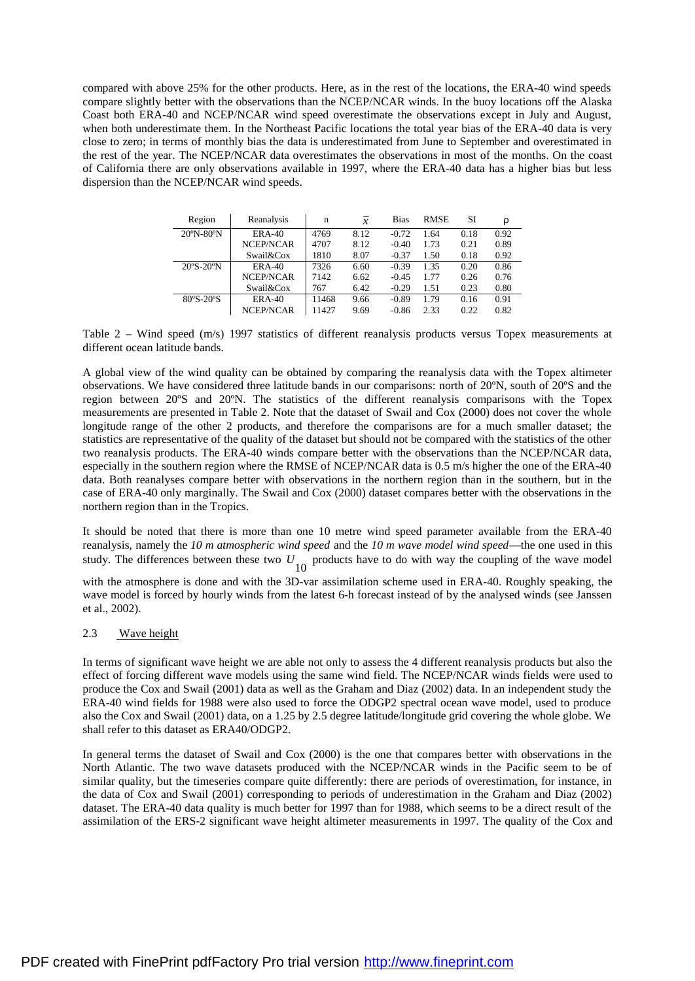compared with above 25% for the other products. Here, as in the rest of the locations, the ERA-40 wind speeds compare slightly better with the observations than the NCEP/NCAR winds. In the buoy locations off the Alaska Coast both ERA-40 and NCEP/NCAR wind speed overestimate the observations except in July and August, when both underestimate them. In the Northeast Pacific locations the total year bias of the ERA-40 data is very close to zero; in terms of monthly bias the data is underestimated from June to September and overestimated in the rest of the year. The NCEP/NCAR data overestimates the observations in most of the months. On the coast of California there are only observations available in 1997, where the ERA-40 data has a higher bias but less dispersion than the NCEP/NCAR wind speeds.

| Region                         | Reanalysis | n     | $\mathcal{X}$ | <b>Bias</b> | <b>RMSE</b> | SI   | ρ    |
|--------------------------------|------------|-------|---------------|-------------|-------------|------|------|
| $20^{\circ}$ N-80 $^{\circ}$ N | $ERA-40$   | 4769  | 8.12          | $-0.72$     | 1.64        | 0.18 | 0.92 |
|                                | NCEP/NCAR  | 4707  | 8.12          | $-0.40$     | 1.73        | 0.21 | 0.89 |
|                                | Swail&Cox  | 1810  | 8.07          | $-0.37$     | 1.50        | 0.18 | 0.92 |
| $20^{\circ}S - 20^{\circ}N$    | $ERA-40$   | 7326  | 6.60          | $-0.39$     | 1.35        | 0.20 | 0.86 |
|                                | NCEP/NCAR  | 7142  | 6.62          | $-0.45$     | 1.77        | 0.26 | 0.76 |
|                                | Swail&Cox  | 767   | 6.42          | $-0.29$     | 1.51        | 0.23 | 0.80 |
| $80^{\circ}$ S-20 $^{\circ}$ S | $ERA-40$   | 11468 | 9.66          | $-0.89$     | 1.79        | 0.16 | 0.91 |
|                                | NCEP/NCAR  | 11427 | 9.69          | $-0.86$     | 2.33        | 0.22 | 0.82 |

Table 2 – Wind speed (m/s) 1997 statistics of different reanalysis products versus Topex measurements at different ocean latitude bands.

A global view of the wind quality can be obtained by comparing the reanalysis data with the Topex altimeter observations. We have considered three latitude bands in our comparisons: north of 20ºN, south of 20ºS and the region between 20ºS and 20ºN. The statistics of the different reanalysis comparisons with the Topex measurements are presented in Table 2. Note that the dataset of Swail and Cox (2000) does not cover the whole longitude range of the other 2 products, and therefore the comparisons are for a much smaller dataset; the statistics are representative of the quality of the dataset but should not be compared with the statistics of the other two reanalysis products. The ERA-40 winds compare better with the observations than the NCEP/NCAR data, especially in the southern region where the RMSE of NCEP/NCAR data is 0.5 m/s higher the one of the ERA-40 data. Both reanalyses compare better with observations in the northern region than in the southern, but in the case of ERA-40 only marginally. The Swail and Cox (2000) dataset compares better with the observations in the northern region than in the Tropics.

It should be noted that there is more than one 10 metre wind speed parameter available from the ERA-40 reanalysis, namely the *10 m atmospheric wind speed* and the *10 m wave model wind speed*—the one used in this study. The differences between these two  $U_{10}$  products have to do with way the coupling of the wave model

with the atmosphere is done and with the 3D-var assimilation scheme used in ERA-40. Roughly speaking, the wave model is forced by hourly winds from the latest 6-h forecast instead of by the analysed winds (see Janssen et al., 2002).

# 2.3 Wave height

In terms of significant wave height we are able not only to assess the 4 different reanalysis products but also the effect of forcing different wave models using the same wind field. The NCEP/NCAR winds fields were used to produce the Cox and Swail (2001) data as well as the Graham and Diaz (2002) data. In an independent study the ERA-40 wind fields for 1988 were also used to force the ODGP2 spectral ocean wave model, used to produce also the Cox and Swail (2001) data, on a 1.25 by 2.5 degree latitude/longitude grid covering the whole globe. We shall refer to this dataset as ERA40/ODGP2.

In general terms the dataset of Swail and Cox (2000) is the one that compares better with observations in the North Atlantic. The two wave datasets produced with the NCEP/NCAR winds in the Pacific seem to be of similar quality, but the timeseries compare quite differently: there are periods of overestimation, for instance, in the data of Cox and Swail (2001) corresponding to periods of underestimation in the Graham and Diaz (2002) dataset. The ERA-40 data quality is much better for 1997 than for 1988, which seems to be a direct result of the assimilation of the ERS-2 significant wave height altimeter measurements in 1997. The quality of the Cox and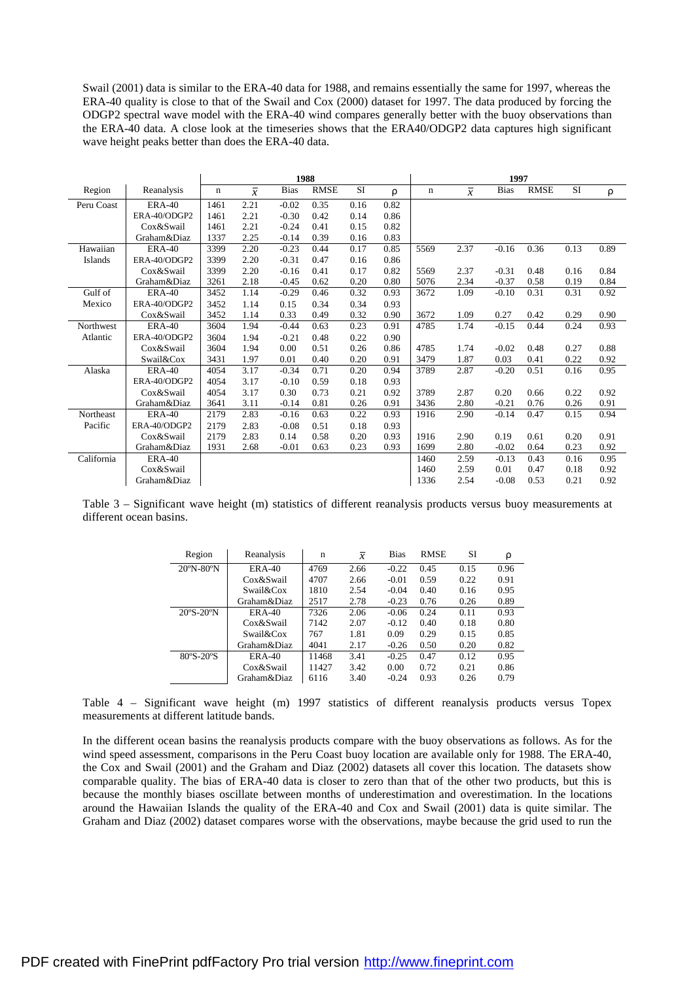Swail (2001) data is similar to the ERA-40 data for 1988, and remains essentially the same for 1997, whereas the ERA-40 quality is close to that of the Swail and Cox (2000) dataset for 1997. The data produced by forcing the ODGP2 spectral wave model with the ERA-40 wind compares generally better with the buoy observations than the ERA-40 data. A close look at the timeseries shows that the ERA40/ODGP2 data captures high significant wave height peaks better than does the ERA-40 data.

|                |               | 1988        |                |             |             |      | 1997 |      |                |             |             |           |      |
|----------------|---------------|-------------|----------------|-------------|-------------|------|------|------|----------------|-------------|-------------|-----------|------|
| Region         | Reanalysis    | $\mathbf n$ | $\overline{x}$ | <b>Bias</b> | <b>RMSE</b> | SI   | ρ    | n    | $\overline{x}$ | <b>Bias</b> | <b>RMSE</b> | <b>SI</b> | ρ    |
| Peru Coast     | <b>ERA-40</b> | 1461        | 2.21           | $-0.02$     | 0.35        | 0.16 | 0.82 |      |                |             |             |           |      |
|                | ERA-40/ODGP2  | 1461        | 2.21           | $-0.30$     | 0.42        | 0.14 | 0.86 |      |                |             |             |           |      |
|                | Cox&Swail     | 1461        | 2.21           | $-0.24$     | 0.41        | 0.15 | 0.82 |      |                |             |             |           |      |
|                | Graham&Diaz   | 1337        | 2.25           | $-0.14$     | 0.39        | 0.16 | 0.83 |      |                |             |             |           |      |
| Hawaiian       | <b>ERA-40</b> | 3399        | 2.20           | $-0.23$     | 0.44        | 0.17 | 0.85 | 5569 | 2.37           | $-0.16$     | 0.36        | 0.13      | 0.89 |
| <b>Islands</b> | ERA-40/ODGP2  | 3399        | 2.20           | $-0.31$     | 0.47        | 0.16 | 0.86 |      |                |             |             |           |      |
|                | Cox&Swail     | 3399        | 2.20           | $-0.16$     | 0.41        | 0.17 | 0.82 | 5569 | 2.37           | $-0.31$     | 0.48        | 0.16      | 0.84 |
|                | Graham&Diaz   | 3261        | 2.18           | $-0.45$     | 0.62        | 0.20 | 0.80 | 5076 | 2.34           | $-0.37$     | 0.58        | 0.19      | 0.84 |
| Gulf of        | <b>ERA-40</b> | 3452        | 1.14           | $-0.29$     | 0.46        | 0.32 | 0.93 | 3672 | 1.09           | $-0.10$     | 0.31        | 0.31      | 0.92 |
| Mexico         | ERA-40/ODGP2  | 3452        | 1.14           | 0.15        | 0.34        | 0.34 | 0.93 |      |                |             |             |           |      |
|                | Cox&Swail     | 3452        | 1.14           | 0.33        | 0.49        | 0.32 | 0.90 | 3672 | 1.09           | 0.27        | 0.42        | 0.29      | 0.90 |
| Northwest      | <b>ERA-40</b> | 3604        | 1.94           | $-0.44$     | 0.63        | 0.23 | 0.91 | 4785 | 1.74           | $-0.15$     | 0.44        | 0.24      | 0.93 |
| Atlantic       | ERA-40/ODGP2  | 3604        | 1.94           | $-0.21$     | 0.48        | 0.22 | 0.90 |      |                |             |             |           |      |
|                | Cox&Swail     | 3604        | 1.94           | 0.00        | 0.51        | 0.26 | 0.86 | 4785 | 1.74           | $-0.02$     | 0.48        | 0.27      | 0.88 |
|                | Swail&Cox     | 3431        | 1.97           | 0.01        | 0.40        | 0.20 | 0.91 | 3479 | 1.87           | 0.03        | 0.41        | 0.22      | 0.92 |
| Alaska         | <b>ERA-40</b> | 4054        | 3.17           | $-0.34$     | 0.71        | 0.20 | 0.94 | 3789 | 2.87           | $-0.20$     | 0.51        | 0.16      | 0.95 |
|                | ERA-40/ODGP2  | 4054        | 3.17           | $-0.10$     | 0.59        | 0.18 | 0.93 |      |                |             |             |           |      |
|                | Cox&Swail     | 4054        | 3.17           | 0.30        | 0.73        | 0.21 | 0.92 | 3789 | 2.87           | 0.20        | 0.66        | 0.22      | 0.92 |
|                | Graham&Diaz   | 3641        | 3.11           | $-0.14$     | 0.81        | 0.26 | 0.91 | 3436 | 2.80           | $-0.21$     | 0.76        | 0.26      | 0.91 |
| Northeast      | <b>ERA-40</b> | 2179        | 2.83           | $-0.16$     | 0.63        | 0.22 | 0.93 | 1916 | 2.90           | $-0.14$     | 0.47        | 0.15      | 0.94 |
| Pacific        | ERA-40/ODGP2  | 2179        | 2.83           | $-0.08$     | 0.51        | 0.18 | 0.93 |      |                |             |             |           |      |
|                | Cox&Swail     | 2179        | 2.83           | 0.14        | 0.58        | 0.20 | 0.93 | 1916 | 2.90           | 0.19        | 0.61        | 0.20      | 0.91 |
|                | Graham&Diaz   | 1931        | 2.68           | $-0.01$     | 0.63        | 0.23 | 0.93 | 1699 | 2.80           | $-0.02$     | 0.64        | 0.23      | 0.92 |
| California     | <b>ERA-40</b> |             |                |             |             |      |      | 1460 | 2.59           | $-0.13$     | 0.43        | 0.16      | 0.95 |
|                | Cox&Swail     |             |                |             |             |      |      | 1460 | 2.59           | 0.01        | 0.47        | 0.18      | 0.92 |
|                | Graham&Diaz   |             |                |             |             |      |      | 1336 | 2.54           | $-0.08$     | 0.53        | 0.21      | 0.92 |

Table 3 – Significant wave height (m) statistics of different reanalysis products versus buoy measurements at different ocean basins.

| Region                         | Reanalysis    | n     | $\mathcal{X}$ | <b>Bias</b> | <b>RMSE</b> | SI   | ρ    |
|--------------------------------|---------------|-------|---------------|-------------|-------------|------|------|
| $20^{\circ}$ N-80 $^{\circ}$ N | $ERA-40$      | 4769  | 2.66          | $-0.22$     | 0.45        | 0.15 | 0.96 |
|                                | Cox&Swail     | 4707  | 2.66          | $-0.01$     | 0.59        | 0.22 | 0.91 |
|                                | Swail&Cox     | 1810  | 2.54          | $-0.04$     | 0.40        | 0.16 | 0.95 |
|                                | Graham&Diaz   | 2517  | 2.78          | $-0.23$     | 0.76        | 0.26 | 0.89 |
| $20^{\circ}S - 20^{\circ}N$    | $ERA-40$      | 7326  | 2.06          | $-0.06$     | 0.24        | 0.11 | 0.93 |
|                                | Cox&Swail     | 7142  | 2.07          | $-0.12$     | 0.40        | 0.18 | 0.80 |
|                                | Swail&Cox     | 767   | 1.81          | 0.09        | 0.29        | 0.15 | 0.85 |
|                                | Graham&Diaz   | 4041  | 2.17          | $-0.26$     | 0.50        | 0.20 | 0.82 |
| $80^{\circ}$ S-20 $^{\circ}$ S | <b>ERA-40</b> | 11468 | 3.41          | $-0.25$     | 0.47        | 0.12 | 0.95 |
|                                | Cox&Swail     | 11427 | 3.42          | 0.00        | 0.72        | 0.21 | 0.86 |
|                                | Graham&Diaz   | 6116  | 3.40          | $-0.24$     | 0.93        | 0.26 | 0.79 |

Table 4 – Significant wave height (m) 1997 statistics of different reanalysis products versus Topex measurements at different latitude bands.

In the different ocean basins the reanalysis products compare with the buoy observations as follows. As for the wind speed assessment, comparisons in the Peru Coast buoy location are available only for 1988. The ERA-40, the Cox and Swail (2001) and the Graham and Diaz (2002) datasets all cover this location. The datasets show comparable quality. The bias of ERA-40 data is closer to zero than that of the other two products, but this is because the monthly biases oscillate between months of underestimation and overestimation. In the locations around the Hawaiian Islands the quality of the ERA-40 and Cox and Swail (2001) data is quite similar. The Graham and Diaz (2002) dataset compares worse with the observations, maybe because the grid used to run the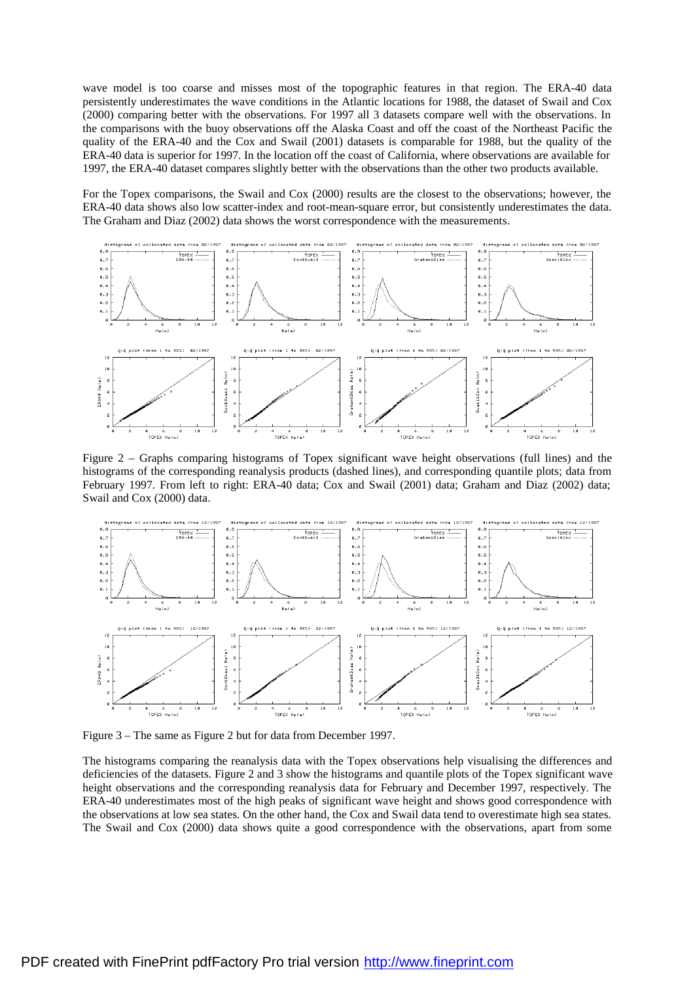wave model is too coarse and misses most of the topographic features in that region. The ERA-40 data persistently underestimates the wave conditions in the Atlantic locations for 1988, the dataset of Swail and Cox (2000) comparing better with the observations. For 1997 all 3 datasets compare well with the observations. In the comparisons with the buoy observations off the Alaska Coast and off the coast of the Northeast Pacific the quality of the ERA-40 and the Cox and Swail (2001) datasets is comparable for 1988, but the quality of the ERA-40 data is superior for 1997. In the location off the coast of California, where observations are available for 1997, the ERA-40 dataset compares slightly better with the observations than the other two products available.

For the Topex comparisons, the Swail and Cox (2000) results are the closest to the observations; however, the ERA-40 data shows also low scatter-index and root-mean-square error, but consistently underestimates the data. The Graham and Diaz (2002) data shows the worst correspondence with the measurements.



Figure 2 – Graphs comparing histograms of Topex significant wave height observations (full lines) and the histograms of the corresponding reanalysis products (dashed lines), and corresponding quantile plots; data from February 1997. From left to right: ERA-40 data; Cox and Swail (2001) data; Graham and Diaz (2002) data; Swail and Cox (2000) data.



Figure 3 – The same as Figure 2 but for data from December 1997.

The histograms comparing the reanalysis data with the Topex observations help visualising the differences and deficiencies of the datasets. Figure 2 and 3 show the histograms and quantile plots of the Topex significant wave height observations and the corresponding reanalysis data for February and December 1997, respectively. The ERA-40 underestimates most of the high peaks of significant wave height and shows good correspondence with the observations at low sea states. On the other hand, the Cox and Swail data tend to overestimate high sea states. The Swail and Cox (2000) data shows quite a good correspondence with the observations, apart from some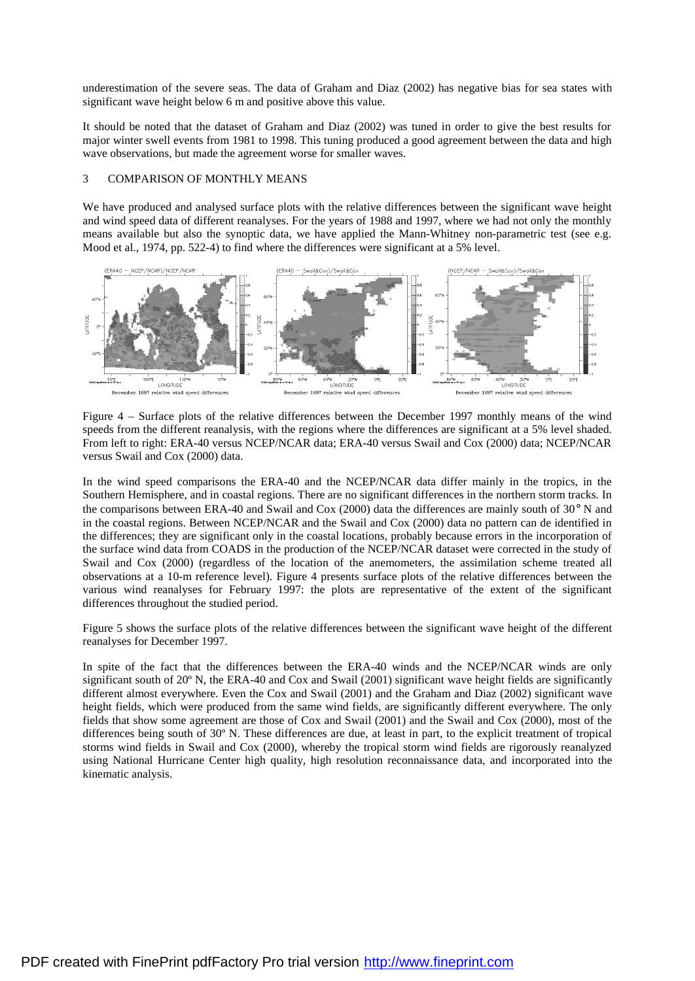underestimation of the severe seas. The data of Graham and Diaz (2002) has negative bias for sea states with significant wave height below 6 m and positive above this value.

It should be noted that the dataset of Graham and Diaz (2002) was tuned in order to give the best results for major winter swell events from 1981 to 1998. This tuning produced a good agreement between the data and high wave observations, but made the agreement worse for smaller waves.

## 3 COMPARISON OF MONTHLY MEANS

We have produced and analysed surface plots with the relative differences between the significant wave height and wind speed data of different reanalyses. For the years of 1988 and 1997, where we had not only the monthly means available but also the synoptic data, we have applied the Mann-Whitney non-parametric test (see e.g. Mood et al., 1974, pp. 522-4) to find where the differences were significant at a 5% level.



Figure 4 – Surface plots of the relative differences between the December 1997 monthly means of the wind speeds from the different reanalysis, with the regions where the differences are significant at a 5% level shaded. From left to right: ERA-40 versus NCEP/NCAR data; ERA-40 versus Swail and Cox (2000) data; NCEP/NCAR versus Swail and Cox (2000) data.

In the wind speed comparisons the ERA-40 and the NCEP/NCAR data differ mainly in the tropics, in the Southern Hemisphere, and in coastal regions. There are no significant differences in the northern storm tracks. In the comparisons between ERA-40 and Swail and Cox (2000) data the differences are mainly south of 30° N and in the coastal regions. Between NCEP/NCAR and the Swail and Cox (2000) data no pattern can de identified in the differences; they are significant only in the coastal locations, probably because errors in the incorporation of the surface wind data from COADS in the production of the NCEP/NCAR dataset were corrected in the study of Swail and Cox (2000) (regardless of the location of the anemometers, the assimilation scheme treated all observations at a 10-m reference level). Figure 4 presents surface plots of the relative differences between the various wind reanalyses for February 1997: the plots are representative of the extent of the significant differences throughout the studied period.

Figure 5 shows the surface plots of the relative differences between the significant wave height of the different reanalyses for December 1997.

In spite of the fact that the differences between the ERA-40 winds and the NCEP/NCAR winds are only significant south of 20<sup>°</sup> N, the ERA-40 and Cox and Swail (2001) significant wave height fields are significantly different almost everywhere. Even the Cox and Swail (2001) and the Graham and Diaz (2002) significant wave height fields, which were produced from the same wind fields, are significantly different everywhere. The only fields that show some agreement are those of Cox and Swail (2001) and the Swail and Cox (2000), most of the differences being south of 30º N. These differences are due, at least in part, to the explicit treatment of tropical storms wind fields in Swail and Cox (2000), whereby the tropical storm wind fields are rigorously reanalyzed using National Hurricane Center high quality, high resolution reconnaissance data, and incorporated into the kinematic analysis.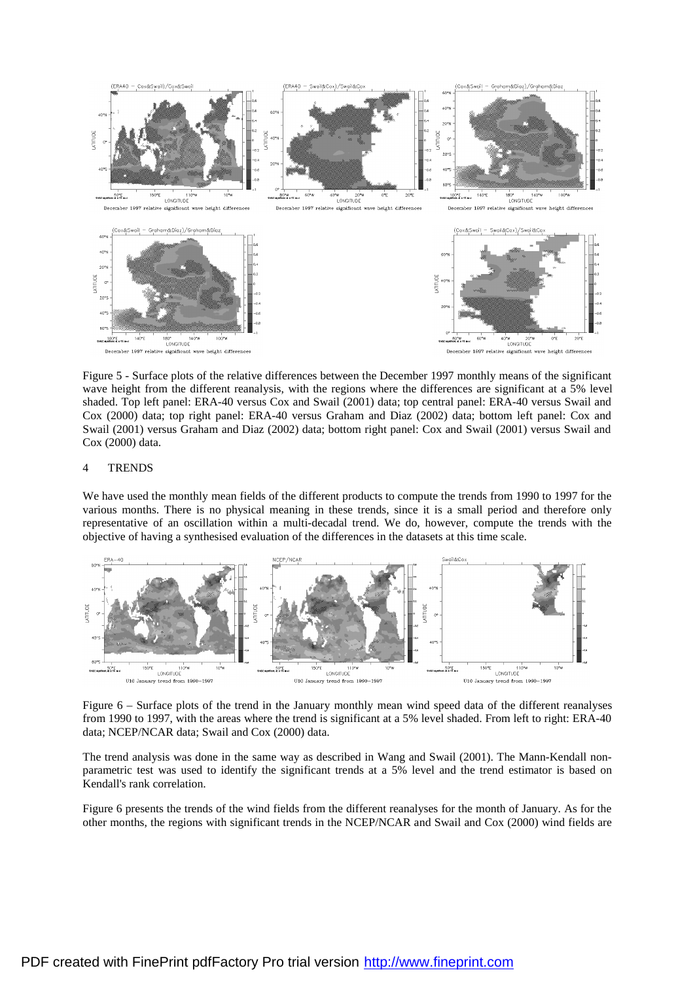

Figure 5 - Surface plots of the relative differences between the December 1997 monthly means of the significant wave height from the different reanalysis, with the regions where the differences are significant at a 5% level shaded. Top left panel: ERA-40 versus Cox and Swail (2001) data; top central panel: ERA-40 versus Swail and Cox (2000) data; top right panel: ERA-40 versus Graham and Diaz (2002) data; bottom left panel: Cox and Swail (2001) versus Graham and Diaz (2002) data; bottom right panel: Cox and Swail (2001) versus Swail and Cox (2000) data.

### 4 TRENDS

We have used the monthly mean fields of the different products to compute the trends from 1990 to 1997 for the various months. There is no physical meaning in these trends, since it is a small period and therefore only representative of an oscillation within a multi-decadal trend. We do, however, compute the trends with the objective of having a synthesised evaluation of the differences in the datasets at this time scale.



Figure 6 – Surface plots of the trend in the January monthly mean wind speed data of the different reanalyses from 1990 to 1997, with the areas where the trend is significant at a 5% level shaded. From left to right: ERA-40 data; NCEP/NCAR data; Swail and Cox (2000) data.

The trend analysis was done in the same way as described in Wang and Swail (2001). The Mann-Kendall nonparametric test was used to identify the significant trends at a 5% level and the trend estimator is based on Kendall's rank correlation.

Figure 6 presents the trends of the wind fields from the different reanalyses for the month of January. As for the other months, the regions with significant trends in the NCEP/NCAR and Swail and Cox (2000) wind fields are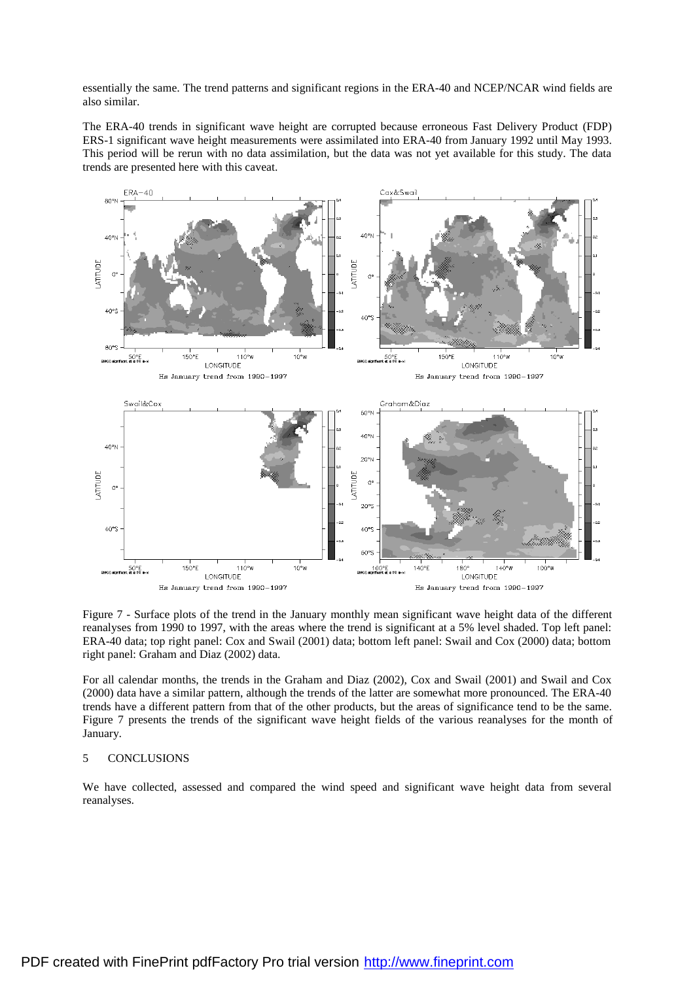essentially the same. The trend patterns and significant regions in the ERA-40 and NCEP/NCAR wind fields are also similar.

The ERA-40 trends in significant wave height are corrupted because erroneous Fast Delivery Product (FDP) ERS-1 significant wave height measurements were assimilated into ERA-40 from January 1992 until May 1993. This period will be rerun with no data assimilation, but the data was not yet available for this study. The data trends are presented here with this caveat.



Figure 7 - Surface plots of the trend in the January monthly mean significant wave height data of the different reanalyses from 1990 to 1997, with the areas where the trend is significant at a 5% level shaded. Top left panel: ERA-40 data; top right panel: Cox and Swail (2001) data; bottom left panel: Swail and Cox (2000) data; bottom right panel: Graham and Diaz (2002) data.

For all calendar months, the trends in the Graham and Diaz (2002), Cox and Swail (2001) and Swail and Cox (2000) data have a similar pattern, although the trends of the latter are somewhat more pronounced. The ERA-40 trends have a different pattern from that of the other products, but the areas of significance tend to be the same. Figure 7 presents the trends of the significant wave height fields of the various reanalyses for the month of January.

### 5 CONCLUSIONS

We have collected, assessed and compared the wind speed and significant wave height data from several reanalyses.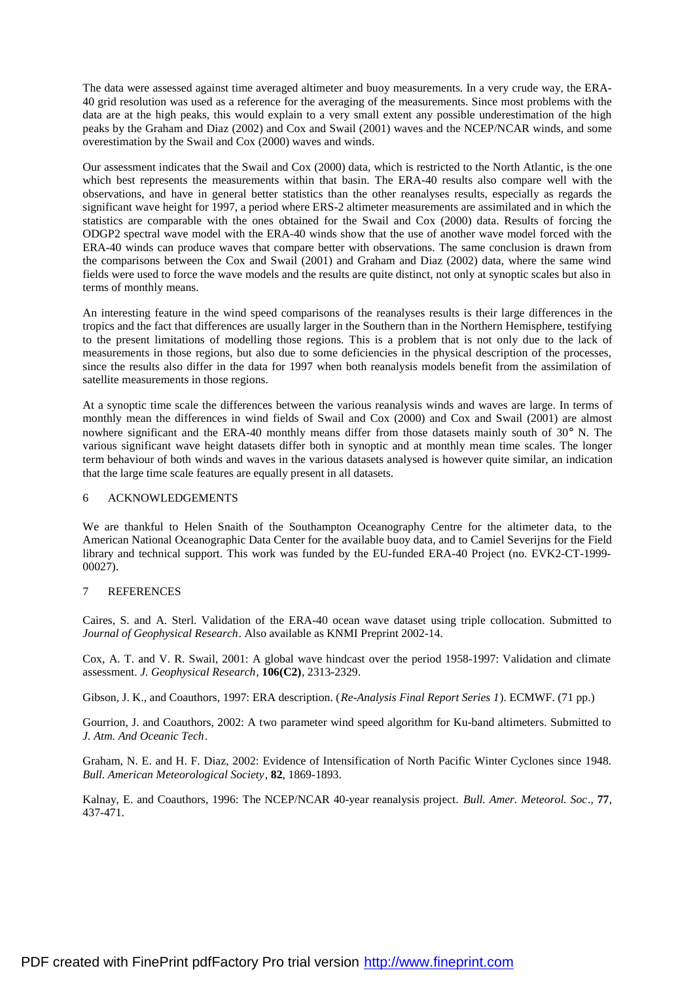The data were assessed against time averaged altimeter and buoy measurements. In a very crude way, the ERA-40 grid resolution was used as a reference for the averaging of the measurements. Since most problems with the data are at the high peaks, this would explain to a very small extent any possible underestimation of the high peaks by the Graham and Diaz (2002) and Cox and Swail (2001) waves and the NCEP/NCAR winds, and some overestimation by the Swail and Cox (2000) waves and winds.

Our assessment indicates that the Swail and Cox (2000) data, which is restricted to the North Atlantic, is the one which best represents the measurements within that basin. The ERA-40 results also compare well with the observations, and have in general better statistics than the other reanalyses results, especially as regards the significant wave height for 1997, a period where ERS-2 altimeter measurements are assimilated and in which the statistics are comparable with the ones obtained for the Swail and Cox (2000) data. Results of forcing the ODGP2 spectral wave model with the ERA-40 winds show that the use of another wave model forced with the ERA-40 winds can produce waves that compare better with observations. The same conclusion is drawn from the comparisons between the Cox and Swail (2001) and Graham and Diaz (2002) data, where the same wind fields were used to force the wave models and the results are quite distinct, not only at synoptic scales but also in terms of monthly means.

An interesting feature in the wind speed comparisons of the reanalyses results is their large differences in the tropics and the fact that differences are usually larger in the Southern than in the Northern Hemisphere, testifying to the present limitations of modelling those regions. This is a problem that is not only due to the lack of measurements in those regions, but also due to some deficiencies in the physical description of the processes, since the results also differ in the data for 1997 when both reanalysis models benefit from the assimilation of satellite measurements in those regions.

At a synoptic time scale the differences between the various reanalysis winds and waves are large. In terms of monthly mean the differences in wind fields of Swail and Cox (2000) and Cox and Swail (2001) are almost nowhere significant and the ERA-40 monthly means differ from those datasets mainly south of 30° N. The various significant wave height datasets differ both in synoptic and at monthly mean time scales. The longer term behaviour of both winds and waves in the various datasets analysed is however quite similar, an indication that the large time scale features are equally present in all datasets.

# 6 ACKNOWLEDGEMENTS

We are thankful to Helen Snaith of the Southampton Oceanography Centre for the altimeter data, to the American National Oceanographic Data Center for the available buoy data, and to Camiel Severijns for the Field library and technical support. This work was funded by the EU-funded ERA-40 Project (no. EVK2-CT-1999- 00027).

# 7 REFERENCES

Caires, S. and A. Sterl. Validation of the ERA-40 ocean wave dataset using triple collocation. Submitted to *Journal of Geophysical Research*. Also available as KNMI Preprint 2002-14.

Cox, A. T. and V. R. Swail, 2001: A global wave hindcast over the period 1958-1997: Validation and climate assessment. *J. Geophysical Research*, **106(C2)**, 2313-2329.

Gibson, J. K., and Coauthors, 1997: ERA description. (*Re-Analysis Final Report Series 1*). ECMWF. (71 pp.)

Gourrion, J. and Coauthors, 2002: A two parameter wind speed algorithm for Ku-band altimeters. Submitted to *J. Atm. And Oceanic Tech*.

Graham, N. E. and H. F. Diaz, 2002: Evidence of Intensification of North Pacific Winter Cyclones since 1948. *Bull. American Meteorological Society*, **82**, 1869-1893.

Kalnay, E. and Coauthors, 1996: The NCEP/NCAR 40-year reanalysis project. *Bull. Amer. Meteorol. Soc*., **77**, 437-471.